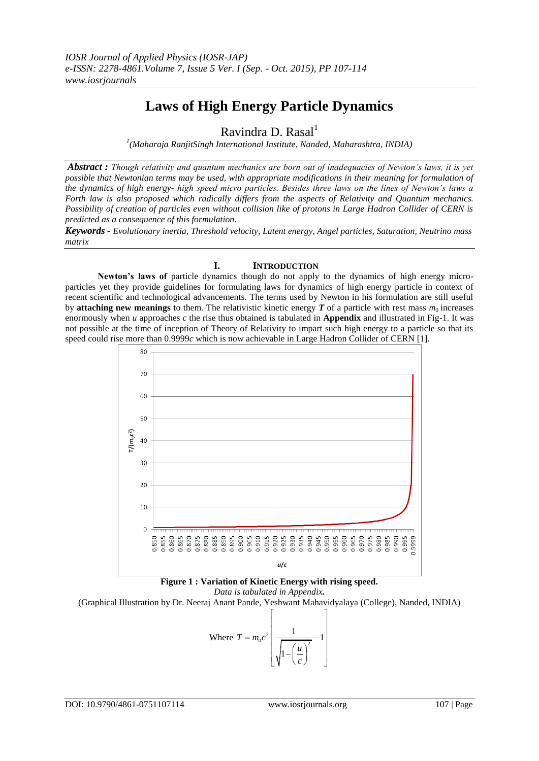# **Laws of High Energy Particle Dynamics**

Ravindra D. Rasal $<sup>1</sup>$ </sup>

*1 (Maharaja RanjitSingh International Institute, Nanded, Maharashtra, INDIA)*

*Abstract : Though relativity and quantum mechanics are born out of inadequacies of Newton's laws, it is yet possible that Newtonian terms may be used, with appropriate modifications in their meaning for formulation of the dynamics of high energy- high speed micro particles. Besides three laws on the lines of Newton's laws a Forth law is also proposed which radically differs from the aspects of Relativity and Quantum mechanics. Possibility of creation of particles even without collision like of protons in Large Hadron Collider of CERN is predicted as a consequence of this formulation.*

*Keywords - Evolutionary inertia, Threshold velocity, Latent energy, Angel particles, Saturation, Neutrino mass matrix*

# **I. INTRODUCTION**

**Newton's laws of** particle dynamics though do not apply to the dynamics of high energy microparticles yet they provide guidelines for formulating laws for dynamics of high energy particle in context of recent scientific and technological advancements. The terms used by Newton in his formulation are still useful by **attaching new meanings** to them. The relativistic kinetic energy  $T$  of a particle with rest mass  $m_0$  increases enormously when *u* approaches *c* the rise thus obtained is tabulated in **Appendix** and illustrated in Fig-1. It was not possible at the time of inception of Theory of Relativity to impart such high energy to a particle so that its speed could rise more than 0.9999*c* which is now achievable in Large Hadron Collider of CERN [1].



**Figure 1 : Variation of Kinetic Energy with rising speed.**

*Data is tabulated in Appendix.*

(Graphical Illustration by Dr. Neeraj Anant Pande, Yeshwant Mahavidyalaya (College), Nanded, INDIA)

Where 
$$
T = m_0 c^2 \left[ \frac{1}{\sqrt{1 - \left(\frac{u}{c}\right)^2}} - 1 \right]
$$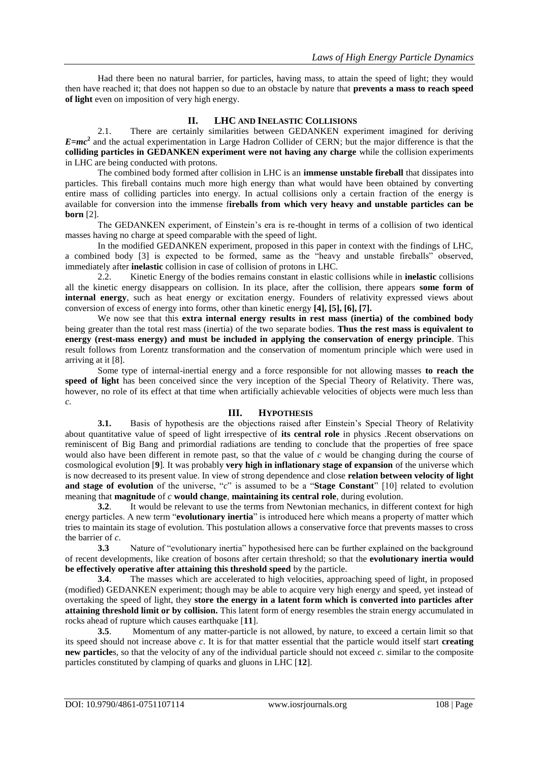Had there been no natural barrier, for particles, having mass, to attain the speed of light; they would then have reached it; that does not happen so due to an obstacle by nature that **prevents a mass to reach speed of light** even on imposition of very high energy.

# **II. LHC AND INELASTIC COLLISIONS**

2.1. There are certainly similarities between GEDANKEN experiment imagined for deriving *E=mc***<sup>2</sup>** and the actual experimentation in Large Hadron Collider of CERN; but the major difference is that the **colliding particles in GEDANKEN experiment were not having any charge** while the collision experiments in LHC are being conducted with protons.

The combined body formed after collision in LHC is an **immense unstable fireball** that dissipates into particles. This fireball contains much more high energy than what would have been obtained by converting entire mass of colliding particles into energy. In actual collisions only a certain fraction of the energy is available for conversion into the immense f**ireballs from which very heavy and unstable particles can be born** [2].

The GEDANKEN experiment, of Einstein"s era is re-thought in terms of a collision of two identical masses having no charge at speed comparable with the speed of light.

In the modified GEDANKEN experiment, proposed in this paper in context with the findings of LHC, a combined body [3] is expected to be formed, same as the "heavy and unstable fireballs" observed, immediately after **inelastic** collision in case of collision of protons in LHC.

2.2. Kinetic Energy of the bodies remains constant in elastic collisions while in **inelastic** collisions all the kinetic energy disappears on collision. In its place, after the collision, there appears **some form of internal energy**, such as heat energy or excitation energy. Founders of relativity expressed views about conversion of excess of energy into forms, other than kinetic energy **[4], [5], [6], [7].**

We now see that this **extra internal energy results in rest mass (inertia) of the combined body**  being greater than the total rest mass (inertia) of the two separate bodies. **Thus the rest mass is equivalent to energy (rest-mass energy) and must be included in applying the conservation of energy principle**. This result follows from Lorentz transformation and the conservation of momentum principle which were used in arriving at it [8].

Some type of internal-inertial energy and a force responsible for not allowing masses **to reach the speed of light** has been conceived since the very inception of the Special Theory of Relativity. There was, however, no role of its effect at that time when artificially achievable velocities of objects were much less than *c*.

## **III. HYPOTHESIS**

**3.1.** Basis of hypothesis are the objections raised after Einstein's Special Theory of Relativity about quantitative value of speed of light irrespective of **its central role** in physics .Recent observations on reminiscent of Big Bang and primordial radiations are tending to conclude that the properties of free space would also have been different in remote past, so that the value of *c* would be changing during the course of cosmological evolution [**9**]*.* It was probably **very high in inflationary stage of expansion** of the universe which is now decreased to its present value. In view of strong dependence and close **relation between velocity of light and stage of evolution** of the universe, "*c*" is assumed to be a "**Stage Constant**" [10] related to evolution meaning that **magnitude** of *c* **would change**, **maintaining its central role**, during evolution.

**3.2**. It would be relevant to use the terms from Newtonian mechanics, in different context for high energy particles. A new term "**evolutionary inertia**" is introduced here which means a property of matter which tries to maintain its stage of evolution. This postulation allows a conservative force that prevents masses to cross the barrier of  $c$ .<br>3.3

**3.3** Nature of "evolutionary inertia" hypothesised here can be further explained on the background of recent developments, like creation of bosons after certain threshold; so that the **evolutionary inertia would be effectively operative after attaining this threshold speed** by the particle.

**3.4**. The masses which are accelerated to high velocities, approaching speed of light, in proposed (modified) GEDANKEN experiment; though may be able to acquire very high energy and speed, yet instead of overtaking the speed of light, they **store the energy in a latent form which is converted into particles after attaining threshold limit or by collision.** This latent form of energy resembles the strain energy accumulated in rocks ahead of rupture which causes earthquake [**11**].

**3.5**. Momentum of any matter-particle is not allowed, by nature, to exceed a certain limit so that its speed should not increase above *c*. It is for that matter essential that the particle would itself start **creating new particle**s, so that the velocity of any of the individual particle should not exceed *c*. similar to the composite particles constituted by clamping of quarks and gluons in LHC [**12**].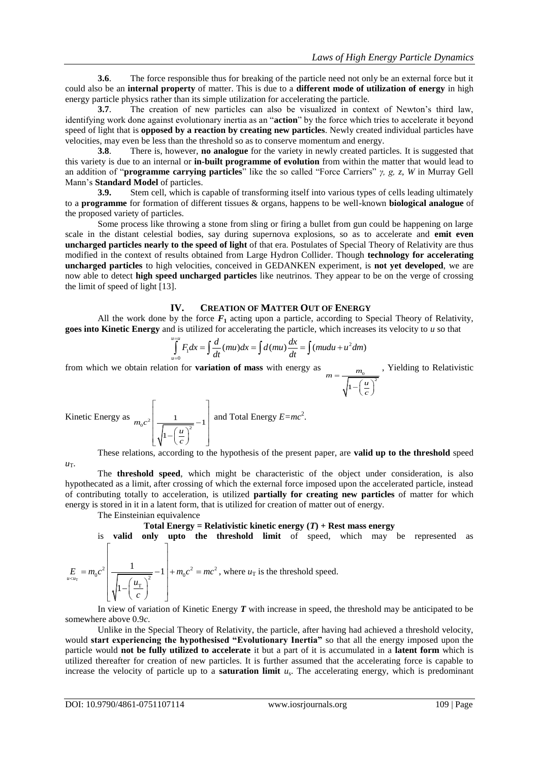*c*

**3.6**. The force responsible thus for breaking of the particle need not only be an external force but it could also be an **internal property** of matter. This is due to a **different mode of utilization of energy** in high energy particle physics rather than its simple utilization for accelerating the particle.

**3.7**. The creation of new particles can also be visualized in context of Newton"s third law, identifying work done against evolutionary inertia as an "**action**" by the force which tries to accelerate it beyond speed of light that is **opposed by a reaction by creating new particles**. Newly created individual particles have velocities, may even be less than the threshold so as to conserve momentum and energy.

**3.8**. There is, however, **no analogue** for the variety in newly created particles. It is suggested that this variety is due to an internal or **in-built programme of evolution** from within the matter that would lead to an addition of "**programme carrying particles**" like the so called "Force Carriers" *γ, g, z, W* in Murray Gell Mann's **Standard Model** of particles.<br>3.9. Stem cell, which is c

**3.9.** Stem cell, which is capable of transforming itself into various types of cells leading ultimately to a **programme** for formation of different tissues & organs, happens to be well-known **biological analogue** of the proposed variety of particles.

Some process like throwing a stone from sling or firing a bullet from gun could be happening on large scale in the distant celestial bodies, say during supernova explosions, so as to accelerate and **emit even uncharged particles nearly to the speed of light** of that era. Postulates of Special Theory of Relativity are thus modified in the context of results obtained from Large Hydron Collider. Though **technology for accelerating uncharged particles** to high velocities, conceived in GEDANKEN experiment, is **not yet developed**, we are now able to detect **high speed uncharged particles** like neutrinos. They appear to be on the verge of crossing the limit of speed of light [13].

#### **IV. CREATION OF MATTER OUT OF ENERGY**

All the work done by the force  $F_1$  acting upon a particle, according to Special Theory of Relativity, goes into Kinetic Energy and is utilized for accelerating the particle, which increases its velocity to *u* so that<br>  $\int_{u=0}^{u=u} F_1 dx = \int \frac{d}{dt} (mu) dx = \int d(mu) \frac{dx}{dt} = \int (mudu + u^2 dm)$ 

$$
\int_{u=0}^{u=u} F_1 dx = \int \frac{d}{dt} (mu) dx = \int d(mu) \frac{dx}{dt} = \int (mu du + u^2 dm)
$$

from which we obtain relation for **variation of mass** with energy as  $\frac{m_0}{1-\left(\frac{u}{u}\right)^2}$  $m = \frac{m}{\sqrt{m}}$ *u*  $\overline{a}$  $-\left(\frac{u}{c}\right)^2$ , Yielding to Relativistic

Kinetic Energy as 
$$
m_0 c^2 \left[ \frac{1}{\sqrt{1 - \left( \frac{u}{c} \right)^2}} - 1 \right]
$$
 and Total Energy  $E = mc^2$ .

These relations, according to the hypothesis of the present paper, are **valid up to the threshold** speed

The **threshold speed**, which might be characteristic of the object under consideration, is also hypothecated as a limit, after crossing of which the external force imposed upon the accelerated particle, instead of contributing totally to acceleration, is utilized **partially for creating new particles** of matter for which energy is stored in it in a latent form, that is utilized for creation of matter out of energy.

The Einsteinian equivalence

 $u_T$ .

**Total Energy = Relativistic kinetic energy**  $(T)$  **+ Rest mass energy** 

is **valid only upto the threshold limit** of speed, which may be represented as  $\begin{bmatrix} 1 & 1 \\ 1 & 1 \end{bmatrix}$ 

$$
E_{u \lt x_{u_{\text{T}}}} = m_0 c^2 \left[ \frac{1}{\sqrt{1 - \left(\frac{u_{\text{T}}}{c}\right)^2}} - 1 \right] + m_0 c^2 = mc^2
$$
, where  $u_{\text{T}}$  is the threshold speed.

In view of variation of Kinetic Energy *T* with increase in speed, the threshold may be anticipated to be somewhere above 0.9*c*.

Unlike in the Special Theory of Relativity, the particle, after having had achieved a threshold velocity, would **start experiencing the hypothesised "Evolutionary Inertia"** so that all the energy imposed upon the particle would **not be fully utilized to accelerate** it but a part of it is accumulated in a **latent form** which is utilized thereafter for creation of new particles. It is further assumed that the accelerating force is capable to increase the velocity of particle up to a **saturation limit** *u*<sup>s</sup> . The accelerating energy, which is predominant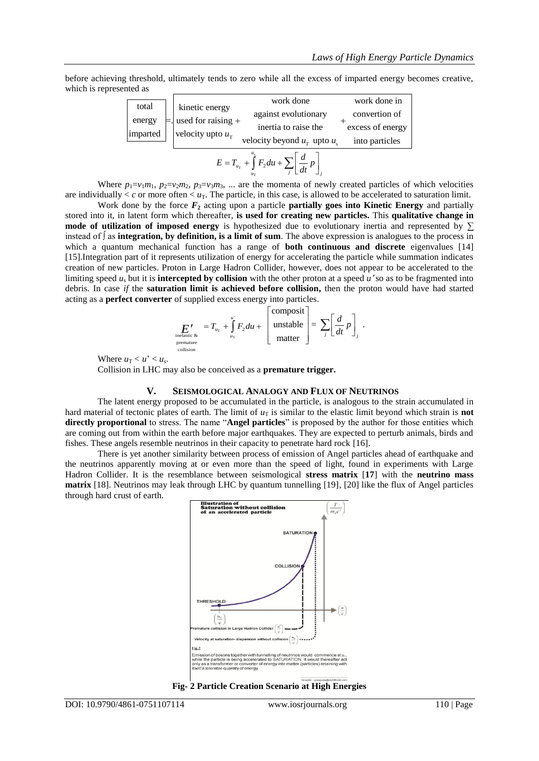before achieving threshold, ultimately tends to zero while all the excess of imparted energy becomes creative, which is represented as

| total              |  |                                          | work done                                                                        | work done in     |
|--------------------|--|------------------------------------------|----------------------------------------------------------------------------------|------------------|
| energy<br>imparted |  | kinetic energy<br>$=$ used for raising + | against evolutionary                                                             | convertion of    |
|                    |  | velocity upto $u_{\rm T}$                | inertia to raise the                                                             | excess of energy |
|                    |  |                                          | velocity beyond $u_r$ upto $u_s$                                                 | into particles   |
|                    |  |                                          | $E = T_{u_{\rm T}} + \int_{a}^{a} F_2 du + \sum_i \left  \frac{d}{dt} p \right $ |                  |

Where  $p_1 = v_1 m_1$ ,  $p_2 = v_2 m_2$ ,  $p_3 = v_3 m_3$ , ... are the momenta of newly created particles of which velocities are individually  $\lt c$  or more often  $\lt u_T$ . The particle, in this case, is allowed to be accelerated to saturation limit.

Work done by the force  $\mathbf{F}_2$  acting upon a particle **partially goes into Kinetic Energy** and partially stored into it, in latent form which thereafter, **is used for creating new particles.** This **qualitative change in mode of utilization of imposed energy** is hypothesized due to evolutionary inertia and represented by ∑ instead of ∫ as **integration, by definition, is a limit of sum**. The above expression is analogues to the process in which a quantum mechanical function has a range of **both continuous and discrete** eigenvalues [14] [15].Integration part of it represents utilization of energy for accelerating the particle while summation indicates creation of new particles. Proton in Large Hadron Collider, however, does not appear to be accelerated to the limiting speed  $u_s$  but it is **intercepted by collision** with the other proton at a speed  $u'$  so as to be fragmented into debris. In case *if* the **saturation limit is achieved before collision,** then the proton would have had started acting as a **perfect converter** of supplied excess energy into particles.

$$
E'_{\text{inelastic & }\atop \text{premature}\atop \text{continuous}} = T_{u_{\text{T}}} + \int_{u_{\text{T}}}^{u'} F_2 du + \left[\begin{array}{c} \text{composite} \\ \text{unstable} \\ \text{matter} \end{array}\right] = \sum_j \left[\frac{d}{dt} p\right]_j.
$$

Where  $u_T < u' < u_s$ .

Collision in LHC may also be conceived as a **premature trigger.**

#### **V. SEISMOLOGICAL ANALOGY AND FLUX OF NEUTRINOS**

The latent energy proposed to be accumulated in the particle, is analogous to the strain accumulated in hard material of tectonic plates of earth. The limit of  $u<sub>T</sub>$  is similar to the elastic limit beyond which strain is **not directly proportional** to stress. The name "**Angel particles**" is proposed by the author for those entities which are coming out from within the earth before major earthquakes. They are expected to perturb animals, birds and fishes. These angels resemble neutrinos in their capacity to penetrate hard rock [16].

There is yet another similarity between process of emission of Angel particles ahead of earthquake and the neutrinos apparently moving at or even more than the speed of light, found in experiments with Large Hadron Collider. It is the resemblance between seismological **stress matrix** [**17**] with the **neutrino mass matrix** [18]. Neutrinos may leak through LHC by quantum tunnelling [19], [20] like the flux of Angel particles through hard crust of earth.



**Fig- 2 Particle Creation Scenario at High Energies**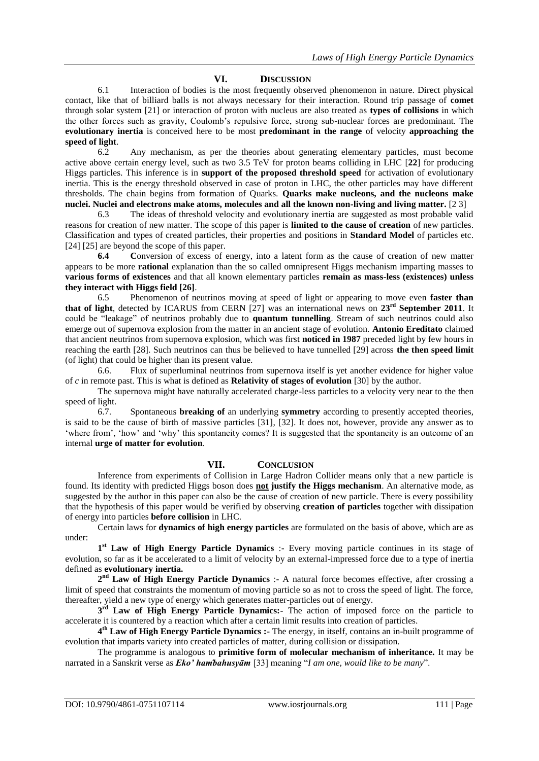#### **VI. DISCUSSION**

6.1 Interaction of bodies is the most frequently observed phenomenon in nature. Direct physical contact, like that of billiard balls is not always necessary for their interaction. Round trip passage of **comet** through solar system [21] or interaction of proton with nucleus are also treated as **types of collisions** in which the other forces such as gravity, Coulomb"s repulsive force, strong sub-nuclear forces are predominant. The **evolutionary inertia** is conceived here to be most **predominant in the range** of velocity **approaching the speed of light.**<br>6.2

6.2 Any mechanism, as per the theories about generating elementary particles, must become active above certain energy level, such as two 3.5 TeV for proton beams colliding in LHC [**22**] for producing Higgs particles. This inference is in **support of the proposed threshold speed** for activation of evolutionary inertia. This is the energy threshold observed in case of proton in LHC, the other particles may have different thresholds. The chain begins from formation of Quarks. **Quarks make nucleons, and the nucleons make nuclei. Nuclei and electrons make atoms, molecules and all the known non-living and living matter. [2 3] 6.3 The ideas of threshold velocity and evolutionary inertia are suggested as most probable valid** 

6.3 The ideas of threshold velocity and evolutionary inertia are suggested as most probable valid reasons for creation of new matter. The scope of this paper is **limited to the cause of creation** of new particles. Classification and types of created particles, their properties and positions in **Standard Model** of particles etc. [24] [25] are beyond the scope of this paper.

**6.4 C**onversion of excess of energy, into a latent form as the cause of creation of new matter appears to be more **rational** explanation than the so called omnipresent Higgs mechanism imparting masses to **various forms of existences** and that all known elementary particles **remain as mass-less (existences) unless they interact with Higgs field [26]**.

6.5 Phenomenon of neutrinos moving at speed of light or appearing to move even **faster than that of light**, detected by ICARUS from CERN [27] was an international news on **23rd September 2011**. It could be "leakage" of neutrinos probably due to **quantum tunnelling**. Stream of such neutrinos could also emerge out of supernova explosion from the matter in an ancient stage of evolution. **Antonio Ereditato** claimed that ancient neutrinos from supernova explosion, which was first **noticed in 1987** preceded light by few hours in reaching the earth [28]. Such neutrinos can thus be believed to have tunnelled [29] across **the then speed limit** (of light) that could be higher than its present value.

6.6. Flux of superluminal neutrinos from supernova itself is yet another evidence for higher value of *c* in remote past. This is what is defined as **Relativity of stages of evolution** [30] by the author.

The supernova might have naturally accelerated charge-less particles to a velocity very near to the then speed of light.<br> $6.7$ .

6.7. Spontaneous **breaking of** an underlying **symmetry** according to presently accepted theories, is said to be the cause of birth of massive particles [31], [32]. It does not, however, provide any answer as to "where from", "how" and "why" this spontaneity comes? It is suggested that the spontaneity is an outcome of an internal **urge of matter for evolution**.

## **VII. CONCLUSION**

Inference from experiments of Collision in Large Hadron Collider means only that a new particle is found. Its identity with predicted Higgs boson does **not justify the Higgs mechanism**. An alternative mode, as suggested by the author in this paper can also be the cause of creation of new particle. There is every possibility that the hypothesis of this paper would be verified by observing **creation of particles** together with dissipation of energy into particles **before collision** in LHC.

Certain laws for **dynamics of high energy particles** are formulated on the basis of above, which are as under:

1<sup>st</sup> Law of High Energy Particle Dynamics :- Every moving particle continues in its stage of evolution, so far as it be accelerated to a limit of velocity by an external-impressed force due to a type of inertia defined as **evolutionary inertia.**

**2 nd Law of High Energy Particle Dynamics** :- A natural force becomes effective, after crossing a limit of speed that constraints the momentum of moving particle so as not to cross the speed of light. The force, thereafter, yield a new type of energy which generates matter-particles out of energy.

3<sup>rd</sup> Law of High Energy Particle Dynamics:- The action of imposed force on the particle to accelerate it is countered by a reaction which after a certain limit results into creation of particles.

**4 th Law of High Energy Particle Dynamics :-** The energy, in itself, contains an in-built programme of evolution that imparts variety into created particles of matter, during collision or dissipation.

The programme is analogous to **primitive form of molecular mechanism of inheritance.** It may be narrated in a Sanskrit verse as *Eko' ham*̇*bahusyām* [33] meaning "*I am one, would like to be many*".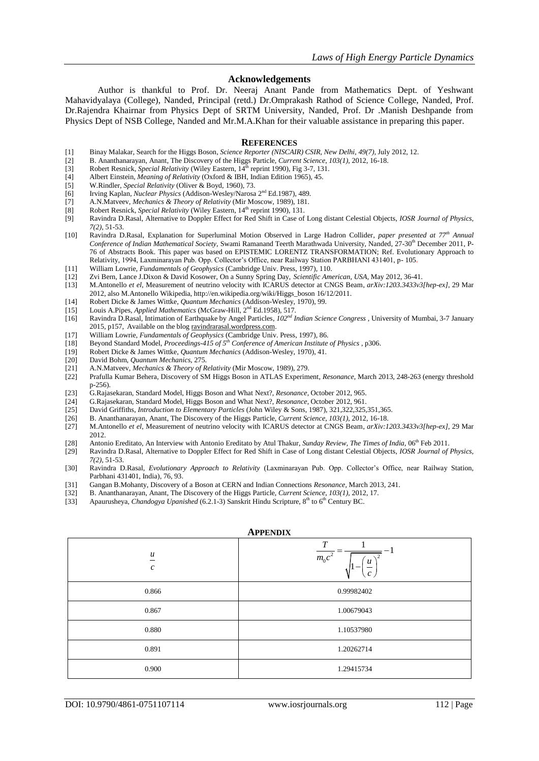#### **Acknowledgements**

Author is thankful to Prof. Dr. Neeraj Anant Pande from Mathematics Dept. of Yeshwant Mahavidyalaya (College), Nanded, Principal (retd.) Dr.Omprakash Rathod of Science College, Nanded, Prof. Dr.Rajendra Khairnar from Physics Dept of SRTM University, Nanded, Prof. Dr .Manish Deshpande from Physics Dept of NSB College, Nanded and Mr.M.A.Khan for their valuable assistance in preparing this paper.

#### **REFERENCES**

- [1] Binay Malakar, Search for the Higgs Boson, *Science Reporter (NISCAIR) CSIR, New Delhi, 49(7),* July 2012, 12.
- [2] B. Ananthanarayan, Anant, The Discovery of the Higgs Particle, *Current Science*, *103(1),* 2012, 16-18.
- [3] Robert Resnick, *Special Relativity* (Wiley Eastern, 14<sup>th</sup> reprint 1990), Fig 3-7, 131.
- [4] Albert Einstein, *Meaning of Relativity* (Oxford & IBH, Indian Edition 1965), 45.
- [5] W.Rindler, *Special Relativity* (Oliver & Boyd, 1960), 73.
- 
- [6] Irving Kaplan, *Nuclear Physics* (Addison-Wesley/Narosa 2<sup>nd</sup> Ed.1987), 489.<br>[7] A.N.Matveev, *Mechanics & Theory of Relativity* (Mir Moscow, 1989), 181. [7] A.N.Matveev, *Mechanics & Theory of Relativity* (Mir Moscow, 1989), 181.
- [8] Robert Resnick, *Special Relativity* (Wiley Eastern, 14<sup>th</sup> reprint 1990), 131.<br>[9] Ravindra D.Rasal. Alternative to Doppler Effect for Red Shift in Case of
- [9] Ravindra D.Rasal, Alternative to Doppler Effect for Red Shift in Case of Long distant Celestial Objects, *IOSR Journal of Physics, 7(2)*, 51-53.
- [10] Ravindra D.Rasal, Explanation for Superluminal Motion Observed in Large Hadron Collider, *paper presented at 77th Annual Conference of Indian Mathematical Society, Swami Ramanand Teerth Marathwada University, Nanded, 27-30<sup>th</sup> December 2011, P-*76 of Abstracts Book. This paper was based on EPISTEMIC LORENTZ TRANSFORMATION; Ref. Evolutionary Approach to Relativity, 1994, Laxminarayan Pub. Opp. Collector's Office, near Railway Station PARBHANI 431401, p- 105.
- [11] William Lowrie, *Fundamentals of Geophysics* (Cambridge Univ. Press, 1997), 110.
- 
- [12] Zvi Bern, Lance J.Dixon & David Kosower, On a Sunny Spring Day, *Scientific American, USA,* May 2012, 36-41. [13] M.Antonello *et el*, Measurement of neutrino velocity with ICARUS detector at CNGS Beam, *arXiv:1203.3433v3[hep-ex]*, 29 Mar 2012, also M.Antonello Wikipedia, http://en.wikipedia.org/wiki/Higgs\_boson 16/12/2011.
- [14] Robert Dicke & James Wittke, *Quantum Mechanics* (Addison-Wesley, 1970), 99.
- [15] Louis A.Pipes, *Applied Mathematics* (McGraw-Hill, 2<sup>nd</sup> Ed.1958), 517.
- [16] Ravindra D.Rasal, Intimation of Earthquake by Angel Particles, *102nd Indian Science Congress ,* University of Mumbai, 3-7 January 2015, p157, Available on the blog ravindrarasal.wordpress.com.
- [17] William Lowrie, *Fundamentals of Geophysics* (Cambridge Univ. Press, 1997), 86.
- [18] Beyond Standard Model, *Proceedings-415 of 5th Conference of American Institute of Physics ,* p306.
- [19] Robert Dicke & James Wittke, *Quantum Mechanics* (Addison-Wesley, 1970), 41.
- [20] David Bohm, *Quantum Mechanics*, 275.
- [21] A.N.Matveev, *Mechanics & Theory of Relativity* (Mir Moscow, 1989), 279.
- [22] Prafulla Kumar Behera, Discovery of SM Higgs Boson in ATLAS Experiment, *Resonance,* March 2013, 248-263 (energy threshold p-256).
- [23] G.Rajasekaran, Standard Model, Higgs Boson and What Next?, *Resonance,* October 2012, 965.
- [24] G.Rajasekaran, Standard Model, Higgs Boson and What Next?, *Resonance,* October 2012, 961.
- [25] David Griffiths, *Introduction to Elementary Particles* (John Wiley & Sons, 1987), 321,322,325,351,365.<br>[26] B. Ananthanarayan, Anant, The Discovery of the Higgs Particle, *Current Science*, 103(1), 2012, 16-18.
- 
- [26] B. Ananthanarayan, Anant, The Discovery of the Higgs Particle, *Current Science*, *103(1),* 2012, 16-18. [27] M.Antonello *et el*, Measurement of neutrino velocity with ICARUS detector at CNGS Beam, *arXiv:1203.3433v3[hep-ex]*, 29 Mar 2012.
- 
- [28] Antonio Ereditato, An Interview with Antonio Ereditato by Atul Thakur, *Sunday Review, The Times of India*, 06<sup>th</sup> Feb 2011.<br>[29] Ravindra D.Rasal, Alternative to Doppler Effect for Red Shift in Case of Long distant C [29] Ravindra D.Rasal, Alternative to Doppler Effect for Red Shift in Case of Long distant Celestial Objects, *IOSR Journal of Physics, 7(2)*, 51-53.
- [30] Ravindra D.Rasal, *Evolutionary Approach to Relativity* (Laxminarayan Pub. Opp. Collector"s Office, near Railway Station, Parbhani 431401, India), 76, 93.
- [31] Gangan B.Mohanty, Discovery of a Boson at CERN and Indian Connections *Resonance,* March 2013, 241.
- [32] B. Ananthanarayan, Anant, The Discovery of the Higgs Particle, *Current Science*, *103(1),* 2012, 17.
- [33] Apaurusheya, *Chandogya Upanished* (6.2.1-3) Sanskrit Hindu Scripture, 8<sup>th</sup> to 6<sup>th</sup> Century BC.

| <b>APPENDIX</b>                       |                                                        |  |  |
|---------------------------------------|--------------------------------------------------------|--|--|
| $\boldsymbol{u}$<br>$\mathcal{C}_{0}$ | $\cal T$<br>$\overline{m_0c^2}$<br>u<br>$\mathfrak{c}$ |  |  |
| 0.866                                 | 0.99982402                                             |  |  |
| 0.867                                 | 1.00679043                                             |  |  |
| 0.880                                 | 1.10537980                                             |  |  |
| 0.891                                 | 1.20262714                                             |  |  |
| 0.900                                 | 1.29415734                                             |  |  |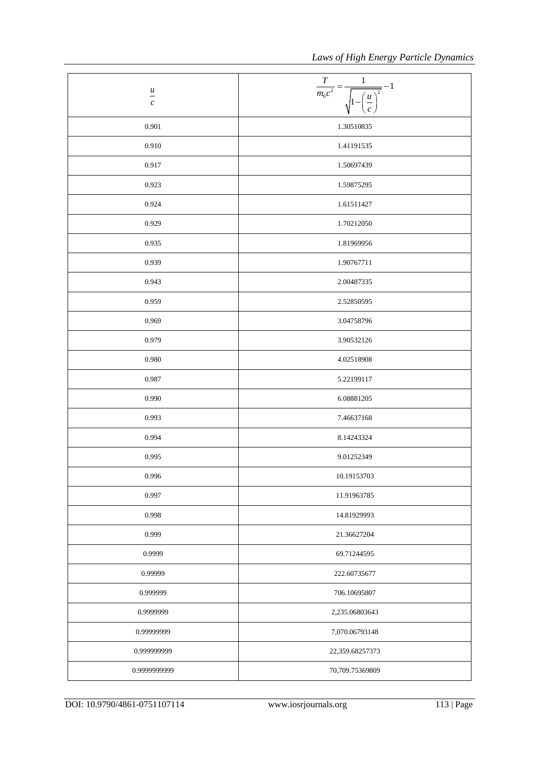| $\frac{u}{-}$<br>$\boldsymbol{c}$ | $\boldsymbol{T}$<br>$\mathbf{1}$<br>$=-1$<br>$\overline{m_0c^2}$<br>$\overline{2}$<br>$\frac{u}{c}$ |
|-----------------------------------|-----------------------------------------------------------------------------------------------------|
| 0.901                             | 1.30510835                                                                                          |
| 0.910                             | 1.41191535                                                                                          |
| 0.917                             | 1.50697439                                                                                          |
| 0.923                             | 1.59875295                                                                                          |
| 0.924                             | 1.61511427                                                                                          |
| 0.929                             | 1.70212050                                                                                          |
| 0.935                             | 1.81969956                                                                                          |
| 0.939                             | 1.90767711                                                                                          |
| 0.943                             | 2.00487335                                                                                          |
| 0.959                             | 2.52850595                                                                                          |
| 0.969                             | 3.04758796                                                                                          |
| 0.979                             | 3.90532126                                                                                          |
| 0.980                             | 4.02518908                                                                                          |
| 0.987                             | 5.22199117                                                                                          |
| 0.990                             | 6.08881205                                                                                          |
| 0.993                             | 7.46637168                                                                                          |
| 0.994                             | 8.14243324                                                                                          |
| 0.995                             | 9.01252349                                                                                          |
| 0.996                             | 10.19153703                                                                                         |
| 0.997                             | 11.91963785                                                                                         |
| 0.998                             | 14.81929993                                                                                         |
| 0.999                             | 21.36627204                                                                                         |
| 0.9999                            | 69.71244595                                                                                         |
| 0.99999                           | 222.60735677                                                                                        |
| 0.999999                          | 706.10695807                                                                                        |
| 0.9999999                         | 2,235.06803643                                                                                      |
| 0.99999999                        | 7,070.06793148                                                                                      |
| 0.999999999                       | 22,359.68257373                                                                                     |
| 0.9999999999                      | 70,709.75369809                                                                                     |